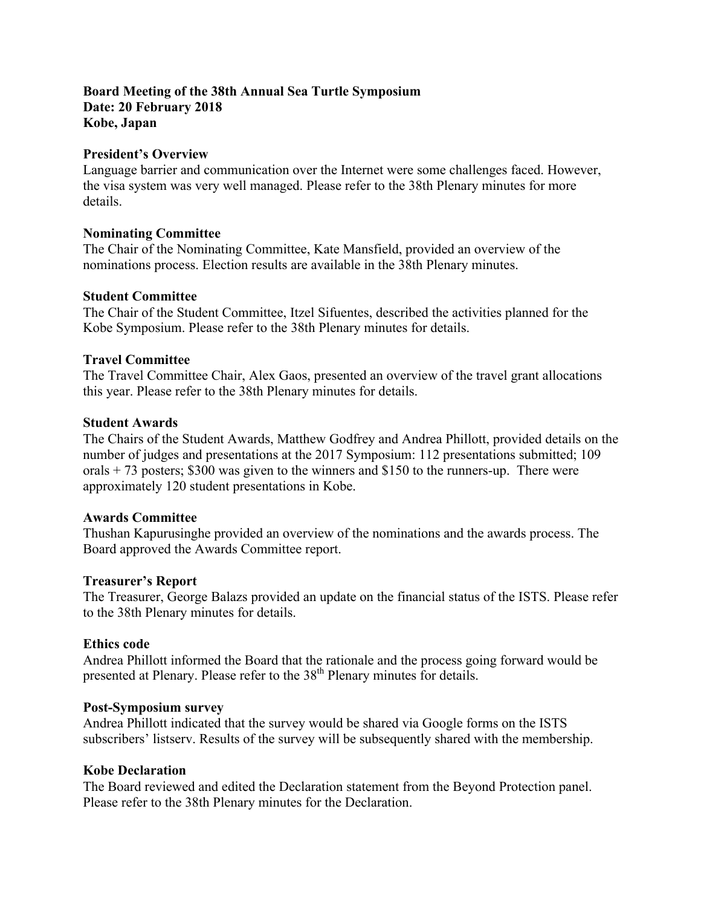# **Board Meeting of the 38th Annual Sea Turtle Symposium Date: 20 February 2018 Kobe, Japan**

#### **President's Overview**

Language barrier and communication over the Internet were some challenges faced. However, the visa system was very well managed. Please refer to the 38th Plenary minutes for more details.

#### **Nominating Committee**

The Chair of the Nominating Committee, Kate Mansfield, provided an overview of the nominations process. Election results are available in the 38th Plenary minutes.

#### **Student Committee**

The Chair of the Student Committee, Itzel Sifuentes, described the activities planned for the Kobe Symposium. Please refer to the 38th Plenary minutes for details.

## **Travel Committee**

The Travel Committee Chair, Alex Gaos, presented an overview of the travel grant allocations this year. Please refer to the 38th Plenary minutes for details.

# **Student Awards**

The Chairs of the Student Awards, Matthew Godfrey and Andrea Phillott, provided details on the number of judges and presentations at the 2017 Symposium: 112 presentations submitted; 109 orals  $+ 73$  posters; \$300 was given to the winners and \$150 to the runners-up. There were approximately 120 student presentations in Kobe.

## **Awards Committee**

Thushan Kapurusinghe provided an overview of the nominations and the awards process. The Board approved the Awards Committee report.

## **Treasurer's Report**

The Treasurer, George Balazs provided an update on the financial status of the ISTS. Please refer to the 38th Plenary minutes for details.

## **Ethics code**

Andrea Phillott informed the Board that the rationale and the process going forward would be presented at Plenary. Please refer to the 38<sup>th</sup> Plenary minutes for details.

#### **Post-Symposium survey**

Andrea Phillott indicated that the survey would be shared via Google forms on the ISTS subscribers' listserv. Results of the survey will be subsequently shared with the membership.

## **Kobe Declaration**

The Board reviewed and edited the Declaration statement from the Beyond Protection panel. Please refer to the 38th Plenary minutes for the Declaration.